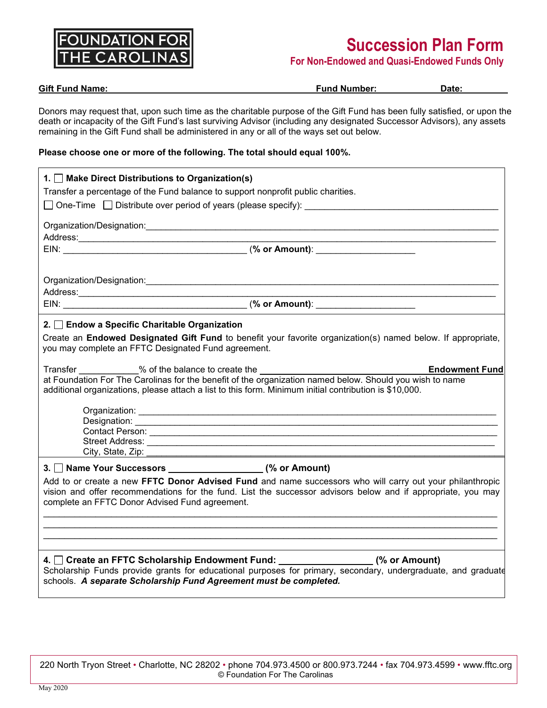

# **Succession Plan Form**

**For Non-Endowed and Quasi-Endowed Funds Only**

| <b>Gift Fund Name:</b>                                                                                                                                                                                                                                                                                                                           | <b>Fund Number:</b>                                                                                                                                                                                                           | Date:                 |
|--------------------------------------------------------------------------------------------------------------------------------------------------------------------------------------------------------------------------------------------------------------------------------------------------------------------------------------------------|-------------------------------------------------------------------------------------------------------------------------------------------------------------------------------------------------------------------------------|-----------------------|
| Donors may request that, upon such time as the charitable purpose of the Gift Fund has been fully satisfied, or upon the<br>death or incapacity of the Gift Fund's last surviving Advisor (including any designated Successor Advisors), any assets<br>remaining in the Gift Fund shall be administered in any or all of the ways set out below. |                                                                                                                                                                                                                               |                       |
| Please choose one or more of the following. The total should equal 100%.                                                                                                                                                                                                                                                                         |                                                                                                                                                                                                                               |                       |
| 1. Make Direct Distributions to Organization(s)                                                                                                                                                                                                                                                                                                  |                                                                                                                                                                                                                               |                       |
| Transfer a percentage of the Fund balance to support nonprofit public charities.                                                                                                                                                                                                                                                                 |                                                                                                                                                                                                                               |                       |
|                                                                                                                                                                                                                                                                                                                                                  |                                                                                                                                                                                                                               |                       |
|                                                                                                                                                                                                                                                                                                                                                  |                                                                                                                                                                                                                               |                       |
|                                                                                                                                                                                                                                                                                                                                                  |                                                                                                                                                                                                                               |                       |
|                                                                                                                                                                                                                                                                                                                                                  | the control of the control of the control of the control of the control of the control of the control of the control of the control of the control of the control of the control of the control of the control of the control |                       |
| 2. Endow a Specific Charitable Organization<br>Create an Endowed Designated Gift Fund to benefit your favorite organization(s) named below. If appropriate,<br>you may complete an FFTC Designated Fund agreement.                                                                                                                               |                                                                                                                                                                                                                               |                       |
| Transfer 3 % % of the balance to create the 100 minutes and the state of the balance to create the 100 minutes                                                                                                                                                                                                                                   |                                                                                                                                                                                                                               | <b>Endowment Fund</b> |
| at Foundation For The Carolinas for the benefit of the organization named below. Should you wish to name<br>additional organizations, please attach a list to this form. Minimum initial contribution is \$10,000.                                                                                                                               |                                                                                                                                                                                                                               |                       |
|                                                                                                                                                                                                                                                                                                                                                  |                                                                                                                                                                                                                               |                       |
|                                                                                                                                                                                                                                                                                                                                                  |                                                                                                                                                                                                                               |                       |
|                                                                                                                                                                                                                                                                                                                                                  |                                                                                                                                                                                                                               |                       |
| City, State, Zip:<br><u> 1989 - Johann John Barn, mars eta bainar eta hiri eta hiri eta hiri eta hiri eta hiri eta hiri eta hiri eta h</u>                                                                                                                                                                                                       |                                                                                                                                                                                                                               |                       |
| 3. Name Your Successors ___________________(% or Amount)                                                                                                                                                                                                                                                                                         |                                                                                                                                                                                                                               |                       |
| Add to or create a new FFTC Donor Advised Fund and name successors who will carry out your philanthropic<br>vision and offer recommendations for the fund. List the successor advisors below and if appropriate, you may<br>complete an FFTC Donor Advised Fund agreement.                                                                       |                                                                                                                                                                                                                               |                       |
|                                                                                                                                                                                                                                                                                                                                                  |                                                                                                                                                                                                                               |                       |
| 4. Create an FFTC Scholarship Endowment Fund: ___________________(% or Amount)<br>Scholarship Funds provide grants for educational purposes for primary, secondary, undergraduate, and graduate<br>schools. A separate Scholarship Fund Agreement must be completed.                                                                             |                                                                                                                                                                                                                               |                       |

220 North Tryon Street • Charlotte, NC 28202 • phone 704.973.4500 or 800.973.7244 • fax 704.973.4599 • www.fftc.org © Foundation For The Carolinas